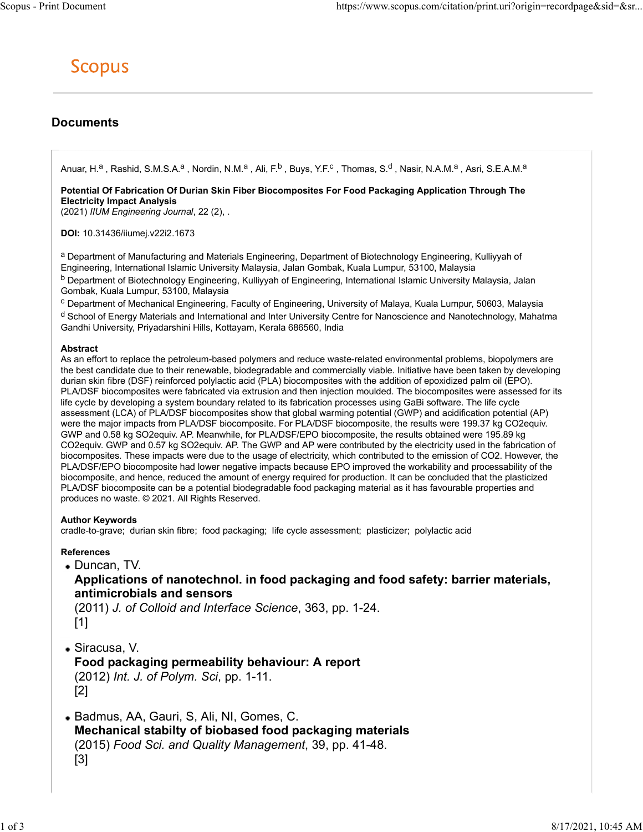# Documents

Anuar, H.<sup>a</sup> , Rashid, S.M.S.A.<sup>a</sup> , Nordin, N.M.<sup>a</sup> , Ali, F.<sup>b</sup> , Buys, Y.F.<sup>c</sup> , Thomas, S.<sup>d</sup> , Nasir, N.A.M.<sup>a</sup> , Asri, S.E.A.M.<sup>a</sup>

Potential Of Fabrication Of Durian Skin Fiber Biocomposites For Food Packaging Application Through The Electricity Impact Analysis

(2021) IIUM Engineering Journal, 22 (2), .

DOI: 10.31436/iiumej.v22i2.1673

a Department of Manufacturing and Materials Engineering, Department of Biotechnology Engineering, Kulliyyah of Engineering, International Islamic University Malaysia, Jalan Gombak, Kuala Lumpur, 53100, Malaysia b Department of Biotechnology Engineering, Kulliyyah of Engineering, International Islamic University Malaysia, Jalan Gombak, Kuala Lumpur, 53100, Malaysia

<sup>c</sup> Department of Mechanical Engineering, Faculty of Engineering, University of Malaya, Kuala Lumpur, 50603, Malaysia <sup>d</sup> School of Energy Materials and International and Inter University Centre for Nanoscience and Nanotechnology, Mahatma Gandhi University, Priyadarshini Hills, Kottayam, Kerala 686560, India

#### Abstract

As an effort to replace the petroleum-based polymers and reduce waste-related environmental problems, biopolymers are the best candidate due to their renewable, biodegradable and commercially viable. Initiative have been taken by developing durian skin fibre (DSF) reinforced polylactic acid (PLA) biocomposites with the addition of epoxidized palm oil (EPO). PLA/DSF biocomposites were fabricated via extrusion and then injection moulded. The biocomposites were assessed for its life cycle by developing a system boundary related to its fabrication processes using GaBi software. The life cycle assessment (LCA) of PLA/DSF biocomposites show that global warming potential (GWP) and acidification potential (AP) were the major impacts from PLA/DSF biocomposite. For PLA/DSF biocomposite, the results were 199.37 kg CO2equiv. GWP and 0.58 kg SO2equiv. AP. Meanwhile, for PLA/DSF/EPO biocomposite, the results obtained were 195.89 kg CO2equiv. GWP and 0.57 kg SO2equiv. AP. The GWP and AP were contributed by the electricity used in the fabrication of biocomposites. These impacts were due to the usage of electricity, which contributed to the emission of CO2. However, the PLA/DSF/EPO biocomposite had lower negative impacts because EPO improved the workability and processability of the biocomposite, and hence, reduced the amount of energy required for production. It can be concluded that the plasticized PLA/DSF biocomposite can be a potential biodegradable food packaging material as it has favourable properties and produces no waste. © 2021. All Rights Reserved.

### Author Keywords

cradle-to-grave; durian skin fibre; food packaging; life cycle assessment; plasticizer; polylactic acid

### References

Duncan, TV.

## Applications of nanotechnol. in food packaging and food safety: barrier materials, antimicrobials and sensors

(2011) J. of Colloid and Interface Science, 363, pp. 1-24. [1]

Siracusa, V.

Food packaging permeability behaviour: A report (2012) Int. J. of Polym. Sci, pp. 1-11. [2]

Badmus, AA, Gauri, S, Ali, NI, Gomes, C. Mechanical stabilty of biobased food packaging materials (2015) Food Sci. and Quality Management, 39, pp. 41-48. [3]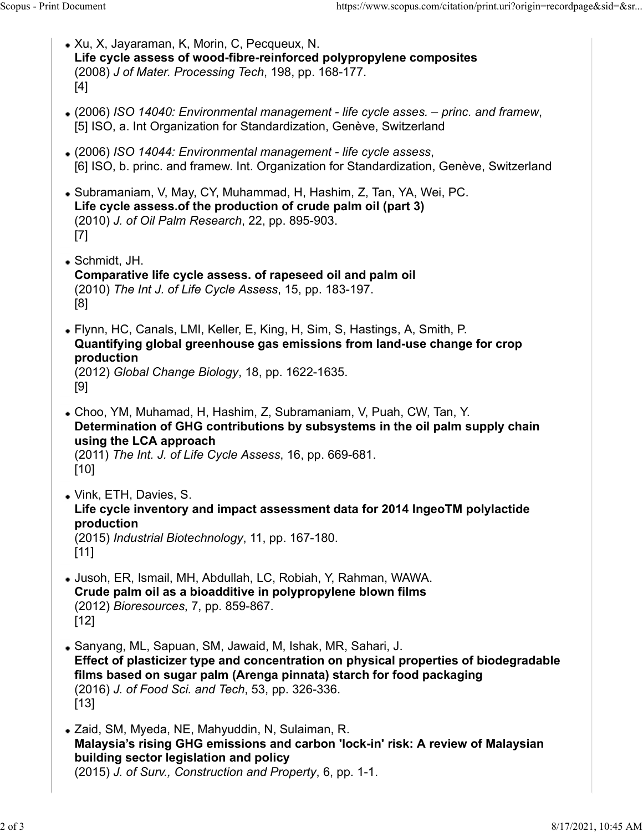- Xu, X, Jayaraman, K, Morin, C, Pecqueux, N. Life cycle assess of wood-fibre-reinforced polypropylene composites (2008) J of Mater. Processing Tech, 198, pp. 168-177. [4] (2006) ISO 14040: Environmental management - life cycle asses. – princ. and framew, [5] ISO, a. Int Organization for Standardization, Genève, Switzerland (2006) ISO 14044: Environmental management - life cycle assess, [6] ISO, b. princ. and framew. Int. Organization for Standardization, Genève, Switzerland Subramaniam, V, May, CY, Muhammad, H, Hashim, Z, Tan, YA, Wei, PC. Life cycle assess.of the production of crude palm oil (part 3) (2010) J. of Oil Palm Research, 22, pp. 895-903. [7] Schmidt, JH. Scopus - Print Document<br>
• Xu, X, Jayaraman, K, Morin, C, Pecqueux, N.<br>
• Xu, X, Jayaraman, K, Morin, C, Pecqueux, N.<br> **Life cycle assess of wood-fibre-reinforced polypropylene composites**<br>
(2008) J of Mater. Processing Te
	- Comparative life cycle assess. of rapeseed oil and palm oil (2010) The Int J. of Life Cycle Assess, 15, pp. 183-197. [8]
	- Flynn, HC, Canals, LMI, Keller, E, King, H, Sim, S, Hastings, A, Smith, P. Quantifying global greenhouse gas emissions from land-use change for crop production (2012) Global Change Biology, 18, pp. 1622-1635. [9]
	- Choo, YM, Muhamad, H, Hashim, Z, Subramaniam, V, Puah, CW, Tan, Y. Determination of GHG contributions by subsystems in the oil palm supply chain using the LCA approach (2011) The Int. J. of Life Cycle Assess, 16, pp. 669-681. [10]
	- Vink, ETH, Davies, S. Life cycle inventory and impact assessment data for 2014 IngeoTM polylactide production

(2015) Industrial Biotechnology, 11, pp. 167-180.  $[11]$ 

- Jusoh, ER, Ismail, MH, Abdullah, LC, Robiah, Y, Rahman, WAWA. Crude palm oil as a bioadditive in polypropylene blown films (2012) Bioresources, 7, pp. 859-867. [12]
- Sanyang, ML, Sapuan, SM, Jawaid, M, Ishak, MR, Sahari, J. Effect of plasticizer type and concentration on physical properties of biodegradable films based on sugar palm (Arenga pinnata) starch for food packaging (2016) J. of Food Sci. and Tech, 53, pp. 326-336. [13]
- Zaid, SM, Myeda, NE, Mahyuddin, N, Sulaiman, R. Malaysia's rising GHG emissions and carbon 'lock-in' risk: A review of Malaysian building sector legislation and policy (2015) J. of Surv., Construction and Property, 6, pp. 1-1.